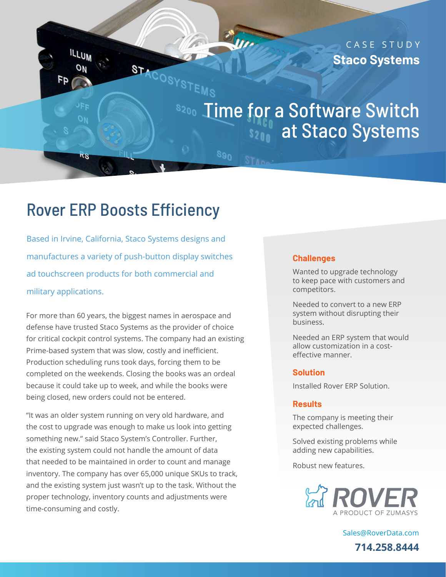CASE STUDY **Staco Systems**

# 8200 Time for a Software Switch s<sub>200</sub> at Staco Systems

## Rover ERP Boosts Efficiency

STACOSYSTEMS

 $89<sub>0</sub>$ 

**ILLUM** 

 $5n$ 

Based in Irvine, California, Staco Systems designs and manufactures a variety of push-button display switches ad touchscreen products for both commercial and military applications.

For more than 60 years, the biggest names in aerospace and defense have trusted Staco Systems as the provider of choice for critical cockpit control systems. The company had an existing Prime-based system that was slow, costly and inefficient. Production scheduling runs took days, forcing them to be completed on the weekends. Closing the books was an ordeal because it could take up to week, and while the books were being closed, new orders could not be entered.

"It was an older system running on very old hardware, and the cost to upgrade was enough to make us look into getting something new." said Staco System's Controller. Further, the existing system could not handle the amount of data that needed to be maintained in order to count and manage inventory. The company has over 65,000 unique SKUs to track, and the existing system just wasn't up to the task. Without the proper technology, inventory counts and adjustments were time-consuming and costly.

#### **Challenges**

Wanted to upgrade technology to keep pace with customers and competitors.

Needed to convert to a new ERP system without disrupting their business.

Needed an ERP system that would allow customization in a costeffective manner.

#### **Solution**

Installed Rover ERP Solution.

#### **Results**

The company is meeting their expected challenges.

Solved existing problems while adding new capabilities.

Robust new features.



[Sales@RoverData.com](mailto:Sales@RoverData.com
) **714.258.8444**